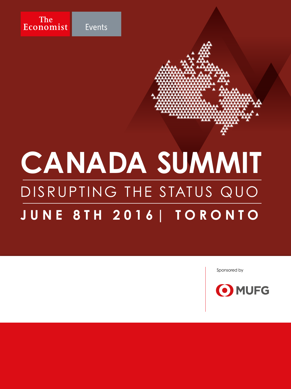

# **JUNE 8TH 2016| TORONTO** DISRUPTING THE STATUS QUO **[CANADA SUMMIT](#page-1-0)**

Sponsored by

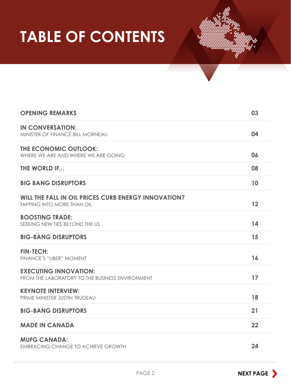## **TABLE OF CONTENTS**

<span id="page-1-0"></span>

| <b>OPENING REMARKS</b>                                                                   | 03 |
|------------------------------------------------------------------------------------------|----|
| <b>IN CONVERSATION:</b><br>MINISTER OF FINANCE BILL MORNEAU                              | 04 |
| THE ECONOMIC OUTLOOK:<br>WHERE WE ARE AND WHERE WE ARE GOING                             | 06 |
| THE WORLD IF                                                                             | 08 |
| <b>BIG BANG DISRUPTORS</b>                                                               | 10 |
| WILL THE FALL IN OIL PRICES CURB ENERGY INNOVATION?<br><b>TAPPING INTO MORE THAN OIL</b> | 12 |
| <b>BOOSTING TRADE:</b><br>SEEKING NEW TIES BEYOND THE US                                 | 14 |
| <b>BIG-BANG DISRUPTORS</b>                                                               | 15 |
| <b>FIN-TECH:</b><br><b>FINANCE'S "UBER" MOMENT</b>                                       | 16 |
| <b>EXECUTING INNOVATION:</b><br>FROM THE LABORATORY TO THE BUSINESS ENVIRONMENT          | 17 |
| <b>KEYNOTE INTERVIEW:</b><br>PRIME MINISTER JUSTIN TRUDEAU                               | 18 |
| <b>BIG-BANG DISRUPTORS</b>                                                               | 21 |
| <b>MADE IN CANADA</b>                                                                    | 22 |
| <b>MUFG CANADA:</b><br><b>EMBRACING CHANGE TO ACHIEVE GROWTH</b>                         | 24 |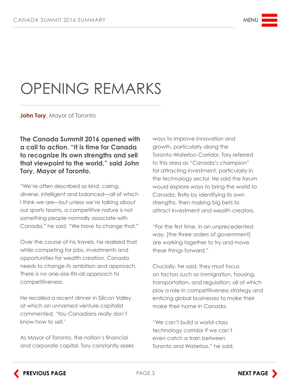## <span id="page-2-0"></span>OPENING REMARKS

**John Tory**, Mayor of Toronto

**The Canada Summit 2016 opened with a call to action. "It is time for Canada to recognize its own strengths and sell that viewpoint to the world," said John Tory, Mayor of Toronto.**

"We're often described as kind, caring, diverse, intelligent and balanced—all of which I think we are—but unless we're talking about our sports teams, a competitive nature is not something people normally associate with Canada," he said. "We have to change that."

Over the course of his travels, he realized that while competing for jobs, investments and opportunities for wealth creation, Canada needs to change its ambition and approach. There is no one-size-fits-all approach to competitiveness.

He recalled a recent dinner in Silicon Valley at which an unnamed venture capitalist commented, 'You Canadians really don't know how to sell.'

As Mayor of Toronto, the nation's financial and corporate capital, Tory constantly seeks ways to improve innovation and growth, particularly along the Toronto-Waterloo Corridor. Tory referred to this area as "Canada's champion" for attracting investment, particularly in the technology sector. He said the forum would explore ways to bring the world to Canada, firstly by identifying its own strengths, then making big bets to attract investment and wealth creators.

"For the first time, in an unprecedented way, [the three orders of government] are working together to try and move these things forward."

Crucially, he said, they must focus on factors such as immigration, housing, transportation, and regulation; all of which play a role in competitiveness strategy and enticing global businesses to make their make their home in Canada.

"We can't build a world-class technology corridor if we can't even catch a train between Toronto and Waterloo," he said.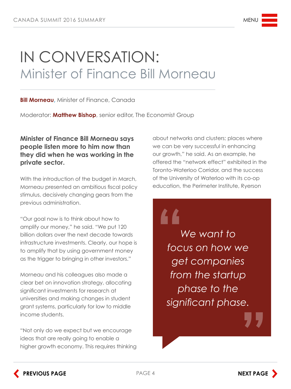### <span id="page-3-0"></span>IN CONVERSATION: Minister of Finance Bill Morneau

**Bill Morneau, Minister of Finance, Canada** 

Moderator: **Matthew Bishop**, senior editor, The Economist Group

**Minister of Finance Bill Morneau says people listen more to him now than they did when he was working in the private sector.**

With the introduction of the budget in March, Morneau presented an ambitious fiscal policy stimulus, decisively changing gears from the previous administration.

"Our goal now is to think about how to amplify our money," he said. "We put 120 billion dollars over the next decade towards infrastructure investments. Clearly, our hope is to amplify that by using government money as the trigger to bringing in other investors."

Morneau and his colleagues also made a clear bet on innovation strategy, allocating significant investments for research at universities and making changes in student grant systems, particularly for low to middle income students.

"Not only do we expect but we encourage ideas that are really going to enable a higher growth economy. This requires thinking about networks and clusters; places where we can be very successful in enhancing our growth," he said. As an example, he offered the "network effect" exhibited in the Toronto-Waterloo Corridor, and the success of the University of Waterloo with its co-op education, the Perimeter Institute, Ryerson

*We want to focus on how we get companies from the startup phase to the significant phase.* **" "**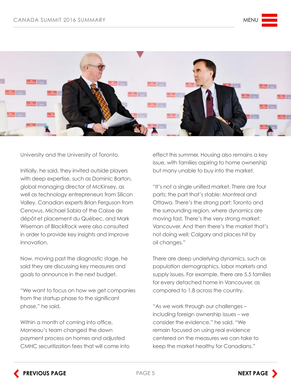

<span id="page-4-0"></span>

University and the University of Toronto.

Initially, he said, they invited outside players with deep expertise, such as Dominic Barton, global managing director of McKinsey, as well as technology entrepreneurs from Silicon Valley. Canadian experts Brian Ferguson from Cenovus, Michael Sabia of the Caisse de dépôt et placement du Québec, and Mark Wiseman of BlackRock were also consulted in order to provide key insights and improve innovation.

Now, moving past the diagnostic stage, he said they are discussing key measures and goals to announce in the next budget.

"We want to focus on how we get companies from the startup phase to the significant phase," he said.

Within a month of coming into office, Morneau's team changed the down payment process on homes and adjusted CMHC securitization fees that will come into effect this summer. Housing also remains a key issue, with families aspiring to home ownership but many unable to buy into the market.

"It's not a single unified market. There are four parts: the part that's stable: Montreal and Ottawa. There's the strong part: Toronto and the surrounding region, where dynamics are moving fast. There's the very strong market: Vancouver. And then there's the market that's not doing well: Calgary and places hit by oil changes."

There are deep underlying dynamics, such as population demographics, labor markets and supply issues. For example, there are 5.5 families for every detached home in Vancouver, as compared to 1.8 across the country.

"As we work through our challenges – including foreign ownership issues – we consider the evidence," he said. "We remain focused on using real evidence centered on the measures we can take to keep the market healthy for Canadians."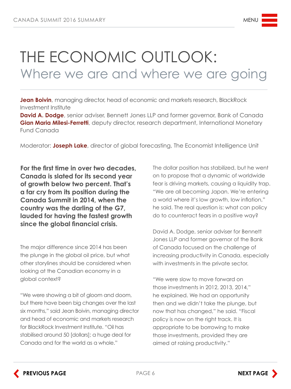### <span id="page-5-0"></span>THE ECONOMIC OUTLOOK: Where we are and where we are going

**Jean Boivin**, managing director, head of economic and markets research, BlackRock Investment Institute

**David A. Dodge**, senior adviser, Bennett Jones LLP and former governor, Bank of Canada **Gian Maria Milesi-Ferretti**, deputy director, research department, International Monetary Fund Canada

Moderator: **Joseph Lake**, director of global forecasting, The Economist Intelligence Unit

**For the first time in over two decades, Canada is slated for its second year of growth below two percent. That's a far cry from its position during the Canada Summit in 2014, when the country was the darling of the G7, lauded for having the fastest growth since the global financial crisis.**

The major difference since 2014 has been the plunge in the global oil price, but what other storylines should be considered when looking at the Canadian economy in a global context?

"We were showing a bit of gloom and doom, but there have been big changes over the last six months," said Jean Boivin, managing director and head of economic and markets research for BlackRock Investment Institute. "Oil has stabilised around 50 [dollars]; a huge deal for Canada and for the world as a whole."

The dollar position has stabilized, but he went on to propose that a dynamic of worldwide fear is driving markets, causing a liquidity trap. "We are all becoming Japan. We're entering a world where it's low growth, low inflation," he said. The real question is: what can policy do to counteract fears in a positive way?

David A. Dodge, senior adviser for Bennett Jones LLP and former governor of the Bank of Canada focused on the challenge of increasing productivity in Canada, especially with investments in the private sector.

"We were slow to move forward on those investments in 2012, 2013, 2014," he explained. We had an opportunity then and we didn't take the plunge, but now that has changed," he said. "Fiscal policy is now on the right track. It is appropriate to be borrowing to make those investments, provided they are aimed at raising productivity."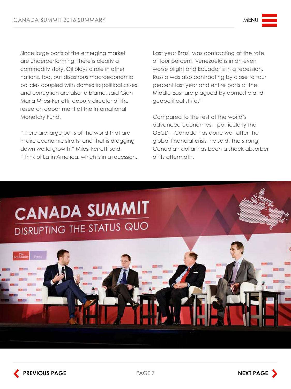<span id="page-6-0"></span>Since large parts of the emerging market are underperforming, there is clearly a commodity story. Oil plays a role in other nations, too, but disastrous macroeconomic policies coupled with domestic political crises and corruption are also to blame, said Gian Maria Milesi-Ferretti, deputy director of the research department at the International Monetary Fund.

"There are large parts of the world that are in dire economic straits, and that is dragging down world growth," Milesi-Ferretti said. "Think of Latin America, which is in a recession. Last year Brazil was contracting at the rate of four percent. Venezuela is in an even worse plight and Ecuador is in a recession. Russia was also contracting by close to four percent last year and entire parts of the Middle East are plagued by domestic and geopolitical strife."

Compared to the rest of the world's advanced economies – particularly the OECD – Canada has done well after the global financial crisis, he said. The strong Canadian dollar has been a shock absorber of its aftermath.

### **CANADA SUMMIT** DISRUPTING THE STATUS QUO

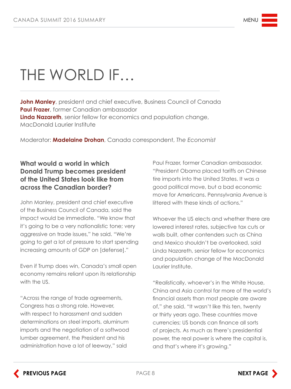## <span id="page-7-0"></span>THE WORLD IF…

**John Manley**, president and chief executive, Business Council of Canada **Paul Frazer**, former Canadian ambassador **Linda Nazareth**, senior fellow for economics and population change, MacDonald Laurier Institute

Moderator: **Madelaine Drohan**, Canada correspondent, *The Economist*

### **What would a world in which Donald Trump becomes president of the United States look like from across the Canadian border?**

John Manley, president and chief executive of the Business Council of Canada, said the impact would be immediate. "We know that it's going to be a very nationalistic tone; very aggressive on trade issues," he said. "We're going to get a lot of pressure to start spending increasing amounts of GDP on [defense]."

Even if Trump does win, Canada's small open economy remains reliant upon its relationship with the US.

"Across the range of trade agreements, Congress has a strong role. However, with respect to harassment and sudden determinations on steel imports, aluminum imports and the negotiation of a softwood lumber agreement, the President and his administration have a lot of leeway," said

Paul Frazer, former Canadian ambassador. "President Obama placed tariffs on Chinese tire imports into the United States. It was a good political move, but a bad economic move for Americans. Pennsylvania Avenue is littered with these kinds of actions."

Whoever the US elects and whether there are lowered interest rates, subjective tax cuts or walls built, other contenders such as China and Mexico shouldn't be overlooked, said Linda Nazareth, senior fellow for economics and population change of the MacDonald Laurier Institute.

"Realistically, whoever's in the White House, China and Asia control far more of the world's financial assets than most people are aware of," she said. "It wasn't like this ten, twenty or thirty years ago. These countries move currencies; US bonds can finance all sorts of projects. As much as there's presidential power, the real power is where the capital is, and that's where it's growing."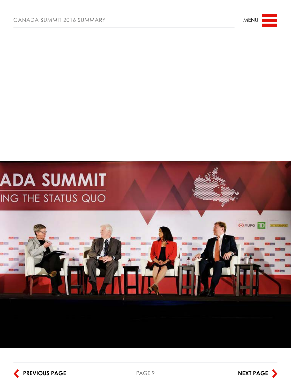<span id="page-8-0"></span>

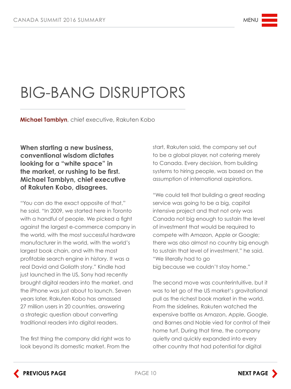### <span id="page-9-0"></span>BIG-BANG DISRUPTORS

**Michael Tamblyn**, chief executive, Rakuten Kobo

**When starting a new business, conventional wisdom dictates looking for a "white space" in the market, or rushing to be first. Michael Tamblyn, chief executive of Rakuten Kobo, disagrees.** 

"You can do the exact opposite of that," he said. "In 2009, we started here in Toronto with a handful of people. We picked a fight against the largest e-commerce company in the world, with the most successful hardware manufacturer in the world, with the world's largest book chain, and with the most profitable search engine in history. It was a real David and Goliath story." Kindle had just launched in the US, Sony had recently brought digital readers into the market, and the iPhone was just about to launch. Seven years later, Rakuten Kobo has amassed 27 million users in 20 countries, answering a strategic question about converting traditional readers into digital readers.

The first thing the company did right was to look beyond its domestic market. From the

start, Rakuten said, the company set out to be a global player, not catering merely to Canada. Every decision, from building systems to hiring people, was based on the assumption of international aspirations.

"We could tell that building a great reading service was going to be a big, capital intensive project and that not only was Canada not big enough to sustain the level of investment that would be required to compete with Amazon, Apple or Google; there was also almost no country big enough to sustain that level of investment," he said. "We literally had to go big because we couldn't stay home."

The second move was counterintuitive, but it was to let go of the US market's gravitational pull as the richest book market in the world. From the sidelines, Rakuten watched the expensive battle as Amazon, Apple, Google, and Barnes and Noble vied for control of their home turf. During that time, the company quietly and quickly expanded into every other country that had potential for digital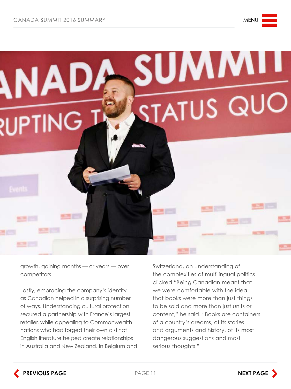<span id="page-10-0"></span>

growth, gaining months — or years — over competitors.

Lastly, embracing the company's identity as Canadian helped in a surprising number of ways. Understanding cultural protection secured a partnership with France's largest retailer, while appealing to Commonwealth nations who had forged their own distinct English literature helped create relationships in Australia and New Zealand. In Belgium and Switzerland, an understanding of the complexities of multilingual politics clicked."Being Canadian meant that we were comfortable with the idea that books were more than just things to be sold and more than just units or content," he said. "Books are containers of a country's dreams, of its stories and arguments and history, of its most dangerous suggestions and most serious thoughts."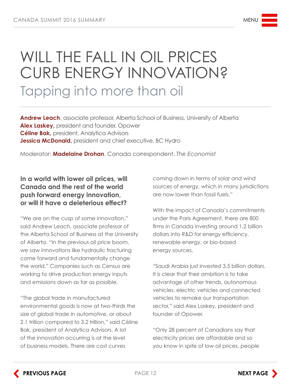### <span id="page-11-0"></span>WILL THE FALL IN OIL PRICES CURB ENERGY INNOVATION? Tapping into more than oil

**Andrew Leach**, associate professor, Alberta School of Business, University of Alberta **Alex Laskey,** president and founder, Opower **Céline Bak,** president, Analytica Advisors **Jessica McDonald,** president and chief executive, BC Hydro

Moderator: **Madelaine Drohan**, Canada correspondent, *The Economist*

### **In a world with lower oil prices, will Canada and the rest of the world push forward energy innovation, or will it have a deleterious effect?**

"We are on the cusp of some innovation," said Andrew Leach, associate professor of the Alberta School of Business at the University of Alberta. "In the previous oil price boom, we saw innovations like hydraulic fracturing come forward and fundamentally change the world." Companies such as Census are working to drive production energy inputs and emissions down as far as possible.

"The global trade in manufactured environmental goods is now at two-thirds the size of global trade in automotive, or about 2.1 trillion compared to 3.2 trillion," said Céline Bak, president of Analytica Advisors. A lot of the innovation occurring is at the level of business models. There are cost curves

coming down in terms of solar and wind sources of energy, which in many jurisdictions are now lower than fossil fuels."

With the impact of Canada's commitments under the Paris Agreement, there are 800 firms in Canada investing around 1.2 billion dollars into R&D for energy efficiency, renewable energy, or bio-based energy sources.

"Saudi Arabia just invested 3.5 billion dollars. It is clear that their ambition is to take advantage of other trends, autonomous vehicles, electric vehicles and connected vehicles to remake our transportation sector," said Alex Laskey, president and founder of Opower.

"Only 28 percent of Canadians say that electricity prices are affordable and so you know in spite of low oil prices, people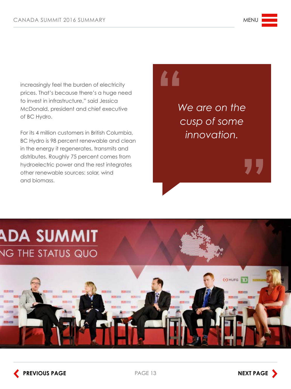<span id="page-12-0"></span>increasingly feel the burden of electricity prices. That's because there's a huge need to invest in infrastructure," said Jessica McDonald, president and chief executive of BC Hydro.

For its 4 million customers in British Columbia, BC Hydro is 98 percent renewable and clean in the energy it regenerates, transmits and distributes. Roughly 75 percent comes from hydroelectric power and the rest integrates other renewable sources: solar, wind and biomass.

## **"**

*We are on the cusp of some innovation.*



### **ADA SUMMIT NG THE STATUS QUO**



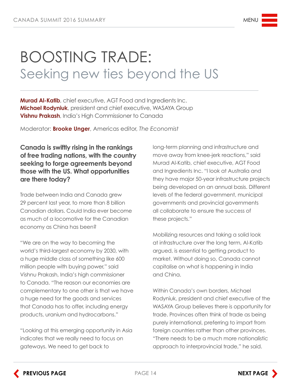### <span id="page-13-0"></span>BOOSTING TRADE: Seeking new ties beyond the US

**Murad Al-Katib**, chief executive, AGT Food and Ingredients Inc. **Michael Rodyniuk**, president and chief executive, WASAYA Group **Vishnu Prakash**, India's High Commissioner to Canada

Moderator: **Brooke Unger**, Americas editor, *The Economist*

**Canada is swiftly rising in the rankings of free trading nations, with the country seeking to forge agreements beyond those with the US. What opportunities are there today?**

Trade between India and Canada grew 29 percent last year, to more than 8 billion Canadian dollars. Could India ever become as much of a locomotive for the Canadian economy as China has been?

"We are on the way to becoming the world's third-largest economy by 2030, with a huge middle class of something like 600 million people with buying power," said Vishnu Prakash, India's high commissioner to Canada. "The reason our economies are complementary to one other is that we have a huge need for the goods and services that Canada has to offer, including energy products, uranium and hydrocarbons."

"Looking at this emerging opportunity in Asia indicates that we really need to focus on gateways. We need to get back to

long-term planning and infrastructure and move away from knee-jerk reactions," said Murad Al-Katib, chief executive, AGT Food and Ingredients Inc. "I look at Australia and they have major 50-year infrastructure projects being developed on an annual basis. Different levels of the federal government, municipal governments and provincial governments all collaborate to ensure the success of these projects."

Mobilizing resources and taking a solid look at infrastructure over the long term, Al-Katib argued, is essential to getting product to market. Without doing so, Canada cannot capitalise on what is happening in India and China.

Within Canada's own borders, Michael Rodyniuk, president and chief executive of the WASAYA Group believes there is opportunity for trade. Provinces often think of trade as being purely international, preferring to import from foreign countries rather than other provinces. "There needs to be a much more nationalistic approach to interprovincial trade," he said.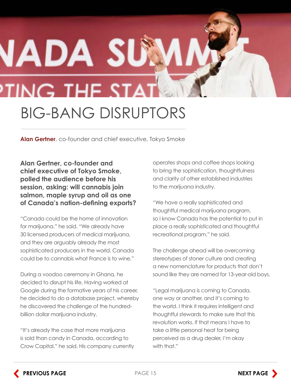# <span id="page-14-0"></span>CANADA SUMMIT 2016 SUMMIT 2016 SUMMIT 2016 SUMMIT 2016 SUMMIT 2016 SUMMIT 2016 SUMMIT 2016 SUMMIT 2016 SUMMIT **VADA SU TING THE STA**

### BIG-BANG DISRUPTORS

**Alan Gertner**, co-founder and chief executive, Tokyo Smoke

**Alan Gertner, co-founder and chief executive of Tokyo Smoke, polled the audience before his session, asking: will cannabis join salmon, maple syrup and oil as one of Canada's nation-defining exports?**

"Canada could be the home of innovation for marijuana," he said. "We already have 30 licensed producers of medical marijuana, and they are arguably already the most sophisticated producers in the world. Canada could be to cannabis what France is to wine."

During a voodoo ceremony in Ghana, he decided to disrupt his life. Having worked at Google during the formative years of his career, he decided to do a database project, whereby he discovered the challenge of the hundredbillion dollar marijuana industry.

"It's already the case that more marijuana is sold than candy in Canada, according to Crow Capital," he said. His company currently operates shops and coffee shops looking to bring the sophistication, thoughtfulness and clarity of other established industries to the marijuana industry.

"We have a really sophisticated and thoughtful medical marijuana program, so I know Canada has the potential to put in place a really sophisticated and thoughtful recreational program," he said.

The challenge ahead will be overcoming stereotypes of stoner culture and creating a new nomenclature for products that don't sound like they are named for 13-year-old boys.

"Legal marijuana is coming to Canada, one way or another, and it's coming to the world. I think it requires intelligent and thoughtful stewards to make sure that this revolution works. If that means I have to take a little personal heat for being perceived as a drug dealer, I'm okay with that."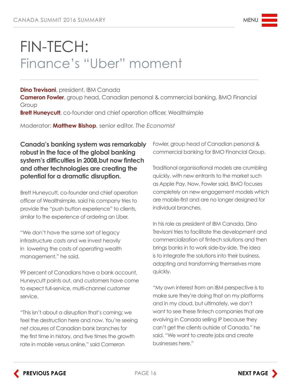### <span id="page-15-0"></span>FIN-TECH: Finance's "Uber" moment

**Dino Trevisani**, president, IBM Canada

**Cameron Fowler**, group head, Canadian personal & commercial banking, BMO Financial Group

**Brett Huneycutt**, co-founder and chief operation officer, Wealthsimple

Moderator: **Matthew Bishop**, senior editor, *The Economist*

**Canada's banking system was remarkably robust in the face of the global banking system's difficulties in 2008,but now fintech and other technologies are creating the potential for a dramatic disruption.**

Brett Huneycutt, co-founder and chief operation officer of Wealthsimple, said his company tries to provide the "push button experience" to clients, similar to the experience of ordering an Uber.

"We don't have the same sort of legacy infrastructure costs and we invest heavily in lowering the costs of operating wealth management," he said.

99 percent of Canadians have a bank account, Huneycutt points out, and customers have come to expect full-service, multi-channel customer service.

"This isn't about a disruption that's coming; we feel the destruction here and now. You're seeing net closures of Canadian bank branches for the first time in history, and five times the growth rate in mobile versus online," said Cameron

Fowler, group head of Canadian personal & commercial banking for BMO Financial Group.

Traditional organisational models are crumbling quickly, with new entrants to the market such as Apple Pay. Now, Fowler said, BMO focuses completely on new engagement models which are mobile-first and are no longer designed for individual branches.

In his role as president of IBM Canada, Dino Trevisani tries to facilitate the development and commercialization of fintech solutions and then brings banks in to work side-by-side. The idea is to integrate the solutions into their business, adapting and transforming themselves more quickly.

"My own interest from an IBM perspective is to make sure they're doing that on my platforms and in my cloud, but ultimately, we don't want to see these fintech companies that are evolving in Canada selling IP because they can't get the clients outside of Canada," he said. "We want to create jobs and create businesses here."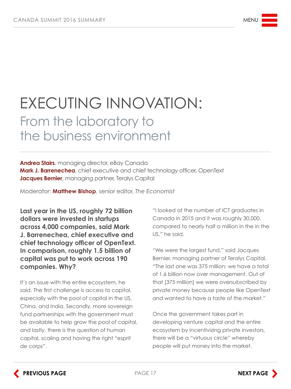### <span id="page-16-0"></span>EXECUTING INNOVATION: From the laboratory to the business environment

**Andrea Stairs**, managing director, eBay Canada **Mark J. Barrenechea**, chief executive and chief technology officer, OpenText **Jacques Bernier**, managing partner, Teralys Capital

Moderator: **Matthew Bishop**, senior editor, *The Economist*

**Last year in the US, roughly 72 billion dollars were invested in startups across 4,000 companies, said Mark J. Barrenechea, chief executive and chief technology officer of OpenText. In comparison, roughly 1.5 billion of capital was put to work across 190 companies. Why?**

It's an issue with the entire ecosystem, he said. The first challenge is access to capital, especially with the pool of capital in the US, China, and India. Secondly, more sovereign fund partnerships with the government must be available to help grow the pool of capital, and lastly, there is the question of human capital, scaling and having the right "esprit de corps".

"I looked at the number of ICT graduates in Canada in 2015 and it was roughly 30,000, compared to nearly half a million in the in the US," he said.

"We were the largest fund," said Jacques Bernier, managing partner of Teralys Capital. "The last one was 375 million; we have a total of 1.6 billion now over management. Out of that [375 million] we were oversubscribed by private money because people like OpenText and wanted to have a taste of the market."

Once the government takes part in developing venture capital and the entire ecosystem by incentivizing private investors, there will be a "virtuous circle" whereby people will put money into the market.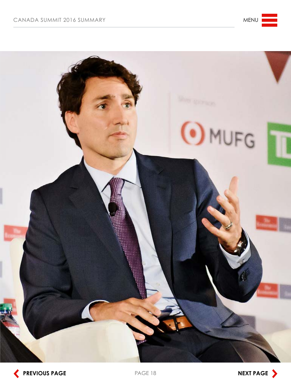

<span id="page-17-0"></span>



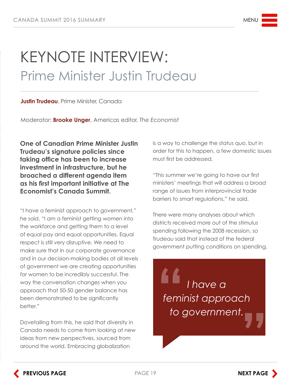### <span id="page-18-0"></span>KEYNOTE INTERVIEW: Prime Minister Justin Trudeau

**Justin Trudeau**, Prime Minister, Canada

Moderator: **Brooke Unger**, Americas editor, *The Economist*

**One of Canadian Prime Minister Justin Trudeau's signature policies since taking office has been to increase investment in infrastructure, but he broached a different agenda item as his first important initiative at The Economist's Canada Summit.** 

"I have a feminist approach to government," he said. "I am a feminist getting women into the workforce and getting them to a level of equal pay and equal opportunities. Equal respect is still very disruptive. We need to make sure that in our corporate governance and in our decision-making bodies at all levels of government we are creating opportunities for women to be incredibly successful. The way the conversation changes when you approach that 50-50 gender balance has been demonstrated to be significantly better."

Dovetailing from this, he said that diversity in Canada needs to come from looking at new ideas from new perspectives, sourced from around the world. Embracing globalization

is a way to challenge the status quo, but in order for this to happen, a few domestic issues must first be addressed.

"This summer we're going to have our first ministers' meetings that will address a broad range of issues from interprovincial trade barriers to smart regulations," he said.

There were many analyses about which districts received more out of the stimulus spending following the 2008 recession, so Trudeau said that instead of the federal government putting conditions on spending,

*I have a feminist approach*  **|<br>| femi**<br>| fo g *to government.***"**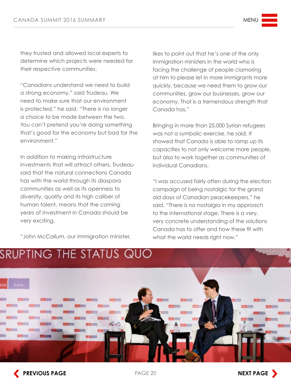<span id="page-19-0"></span>they trusted and allowed local experts to determine which projects were needed for their respective communities.

"Canadians understand we need to build a strong economy," said Trudeau. We need to make sure that our environment is protected," he said. "There is no longer a choice to be made between the two. You can't pretend you're doing something that's good for the economy but bad for the environment."

In addition to making infrastructure investments that will attract others, Trudeau said that the natural connections Canada has with the world through its diaspora communities as well as its openness to diversity, quality and its high caliber of human talent, means that the coming years of investment in Canada should be very exciting.

"John McCallum, our immigration minister,

likes to point out that he's one of the only immigration ministers in the world who is facing the challenge of people clamoring at him to please let in more immigrants more quickly, because we need them to grow our communities, grow our businesses, grow our economy. That is a tremendous strength that Canada has."

Bringing in more than 25,000 Syrian refugees was not a symbolic exercise, he said. It showed that Canada is able to ramp up its capacities to not only welcome more people, but also to work together as communities of individual Canadians.

"I was accused fairly often during the election campaign of being nostalgic for the grand old days of Canadian peacekeepers," he said. "There is no nostalgia in my approach to the international stage. There is a very, very concrete understanding of the solutions Canada has to offer and how these fit with what the world needs right now."





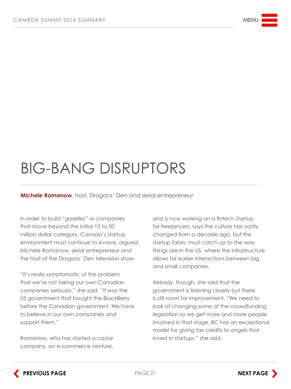### <span id="page-20-0"></span>BIG-BANG DISRUPTORS

**Michele Romanow**, host, Dragons' Den and serial entrepreneur

In order to build "gazelles" or companies that move beyond the initial 10 to 50 million dollar category, Canada's startup environment must continue to evolve, argued Michele Romanow, serial entrepreneur and the host of the Dragons' Den television show.

"It's really symptomatic of the problem that we're not taking our own Canadian companies seriously," she said. "It was the US government that bought the BlackBerry before the Canadian government. We have to believe in our own companies and support them."

Romanow, who has started a caviar company, an e-commerce venture, and is now working on a fintech startup for freelancers, says the culture has vastly changed from a decade ago, but the startup fabric must catch up to the way things are in the US, where the infrastructure allows for easier interactions between big and small companies.

Already, though, she said that the government is listening closely but there is still room for improvement. "We need to look at changing some of the crowdfunding legislation so we get more and more people involved in that stage. BC has an exceptional model for giving tax credits to angels that invest in startups," she said.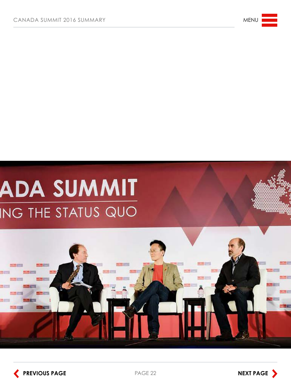# <span id="page-21-0"></span>**ADA SUMMIT** ING THE STATUS QUO





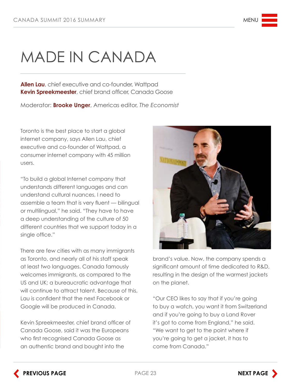### <span id="page-22-0"></span>MADE IN CANADA

**Allen Lau**, chief executive and co-founder, Wattpad **Kevin Spreekmeester**, chief brand officer, Canada Goose

Moderator: **Brooke Unger**, Americas editor, *The Economist*

Toronto is the best place to start a global internet company, says Allen Lau, chief executive and co-founder of Wattpad, a consumer internet company with 45 million users.

"To build a global Internet company that understands different languages and can understand cultural nuances, I need to assemble a team that is very fluent — bilingual or multilingual," he said. "They have to have a deep understanding of the culture of 50 different countries that we support today in a single office."

There are few cities with as many immigrants as Toronto, and nearly all of his staff speak at least two languages. Canada famously welcomes immigrants, as compared to the US and UK; a bureaucratic advantage that will continue to attract talent. Because of this, Lau is confident that the next Facebook or Google will be produced in Canada.

Kevin Spreekmeester, chief brand officer of Canada Goose, said it was the Europeans who first recognised Canada Goose as an authentic brand and bought into the



brand's value. Now, the company spends a significant amount of time dedicated to R&D, resulting in the design of the warmest jackets on the planet.

"Our CEO likes to say that if you're going to buy a watch, you want it from Switzerland and if you're going to buy a Land Rover it's got to come from England," he said. "We want to get to the point where if you're going to get a jacket, it has to come from Canada."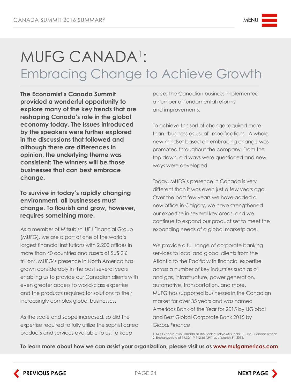### <span id="page-23-0"></span>MUFG CANADA1 : Embracing Change to Achieve Growth

**The Economist's Canada Summit provided a wonderful opportunity to explore many of the key trends that are reshaping Canada's role in the global economy today. The issues introduced by the speakers were further explored in the discussions that followed and although there are differences in opinion, the underlying theme was consistent: The winners will be those businesses that can best embrace change.** 

**To survive in today's rapidly changing environment, all businesses must change. To flourish and grow, however, requires something more.**

As a member of Mitsubishi UFJ Financial Group (MUFG), we are a part of one of the world's largest financial institutions with 2,200 offices in more than 40 countries and assets of \$US 2.6 trillion2 . MUFG's presence in North America has grown considerably in the past several years enabling us to provide our Canadian clients with even greater access to world-class expertise and the products required for solutions to their increasingly complex global businesses.

As the scale and scope increased, so did the expertise required to fully utilize the sophisticated products and services available to us. To keep

pace, the Canadian business implemented a number of fundamental reforms and improvements.

To achieve this sort of change required more than "business as usual" modifications. A whole new mindset based on embracing change was promoted throughout the company. From the top down, old ways were questioned and new ways were developed.

Today, MUFG's presence in Canada is very different than it was even just a few years ago. Over the past few years we have added a new office in Calgary, we have strengthened our expertise in several key areas, and we continue to expand our product set to meet the expanding needs of a global marketplace.

We provide a full range of corporate banking services to local and global clients from the Atlantic to the Pacific with financial expertise across a number of key industries such as oil and gas, infrastructure, power generation, automotive, transportation, and more. MUFG has supported businesses in the Canadian market for over 35 years and was named Americas Bank of the Year for 2015 by IJGlobal and Best Global Corporate Bank 2015 by *Global Finance*.

1. MUFG operates in Canada as The Bank of Tokyo-Mitsubishi UFJ, Ltd., Canada Branch 2. Exchange rate of 1 USD = ¥ 112.68 (JPY) as of March 31, 2016.

**To learn more about how we can assist your organization, please visit us as www.mufgamericas.com**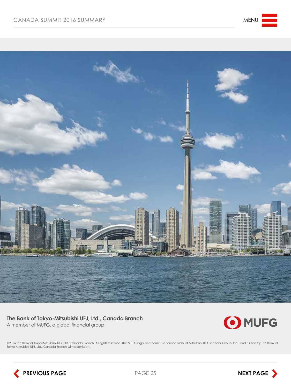<span id="page-24-0"></span>

#### **The Bank of Tokyo-Mitsubishi UFJ, Ltd., Canada Branch**  A member of MUFG, a global financial group



©2016 The Bank of Tokyo-Mitsubishi UFJ, Ltd., Canada Branch. All rights reserved. The MUFG logo and name is a service mark of Mitsubishi UFJ Financial Group, Inc., and is used by The Bank of Tokyo-Mitsubishi UFJ, Ltd., Canada Branch with permission.